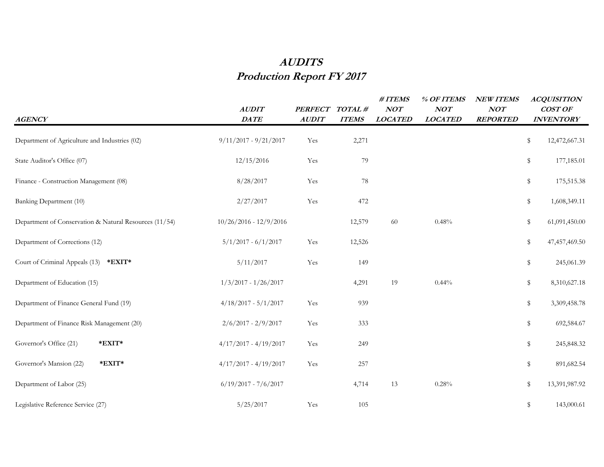## **AUDITS Production Report FY 2017**

| <b>AGENCY</b>                                          | <b>AUDIT</b><br>DATE     | <b>PERFECT</b><br><b>AUDIT</b> | TOTAL#<br><b>ITEMS</b> | # ITEMS<br>NOT<br><b>LOCATED</b> | % OF ITEMS<br>NOT<br><b>LOCATED</b> | <b>NEW ITEMS</b><br>NOT<br><b>REPORTED</b> | <b>ACQUISITION</b><br>COST OF<br><b>INVENTORY</b> |
|--------------------------------------------------------|--------------------------|--------------------------------|------------------------|----------------------------------|-------------------------------------|--------------------------------------------|---------------------------------------------------|
| Department of Agriculture and Industries (02)          | $9/11/2017 - 9/21/2017$  | Yes                            | 2,271                  |                                  |                                     |                                            | \$<br>12,472,667.31                               |
| State Auditor's Office (07)                            | 12/15/2016               | Yes                            | 79                     |                                  |                                     |                                            | \$<br>177,185.01                                  |
| Finance - Construction Management (08)                 | 8/28/2017                | Yes                            | $78\,$                 |                                  |                                     |                                            | \$<br>175,515.38                                  |
| Banking Department (10)                                | 2/27/2017                | Yes                            | 472                    |                                  |                                     |                                            | \$<br>1,608,349.11                                |
| Department of Conservation & Natural Resources (11/54) | $10/26/2016 - 12/9/2016$ |                                | 12,579                 | 60                               | 0.48%                               |                                            | \$<br>61,091,450.00                               |
| Department of Corrections (12)                         | $5/1/2017 - 6/1/2017$    | Yes                            | 12,526                 |                                  |                                     |                                            | \$<br>47,457,469.50                               |
| Court of Criminal Appeals (13)<br>$*$ EXIT $*$         | 5/11/2017                | Yes                            | 149                    |                                  |                                     |                                            | \$<br>245,061.39                                  |
| Department of Education (15)                           | $1/3/2017 - 1/26/2017$   |                                | 4,291                  | 19                               | 0.44%                               |                                            | \$<br>8,310,627.18                                |
| Department of Finance General Fund (19)                | $4/18/2017 - 5/1/2017$   | Yes                            | 939                    |                                  |                                     |                                            | \$<br>3,309,458.78                                |
| Department of Finance Risk Management (20)             | $2/6/2017 - 2/9/2017$    | Yes                            | 333                    |                                  |                                     |                                            | \$<br>692,584.67                                  |
| Governor's Office (21)<br>*EXIT*                       | $4/17/2017 - 4/19/2017$  | Yes                            | 249                    |                                  |                                     |                                            | \$<br>245,848.32                                  |
| $*$ EXIT $*$<br>Governor's Mansion (22)                | $4/17/2017 - 4/19/2017$  | Yes                            | 257                    |                                  |                                     |                                            | \$<br>891,682.54                                  |
| Department of Labor (25)                               | $6/19/2017 - 7/6/2017$   |                                | 4,714                  | 13                               | $0.28\%$                            |                                            | \$<br>13,391,987.92                               |
| Legislative Reference Service (27)                     | 5/25/2017                | Yes                            | 105                    |                                  |                                     |                                            | \$<br>143,000.61                                  |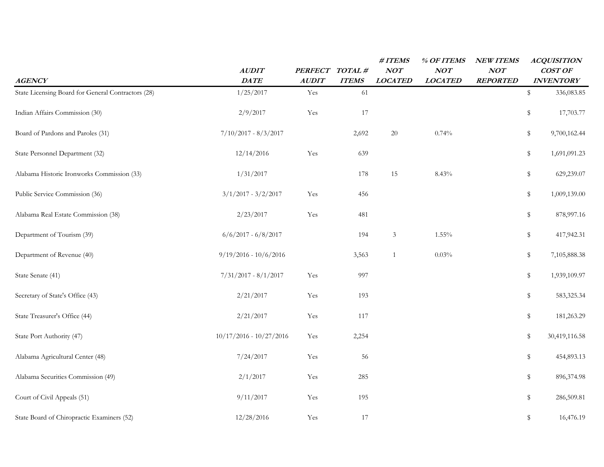|                                                    | <b>AUDIT</b>              | <b>PERFECT</b>       | TOTAL#       | #ITEMS<br>NOT  | % OF ITEMS<br>NOT | <b>NEW ITEMS</b><br>NOT |             | <b>ACQUISITION</b><br><b>COST OF</b> |
|----------------------------------------------------|---------------------------|----------------------|--------------|----------------|-------------------|-------------------------|-------------|--------------------------------------|
| <b>AGENCY</b>                                      | DATE                      | <b>AUDIT</b>         | <b>ITEMS</b> | <b>LOCATED</b> | <b>LOCATED</b>    | <b>REPORTED</b>         |             | <b>INVENTORY</b>                     |
| State Licensing Board for General Contractors (28) | 1/25/2017                 | Yes                  | 61           |                |                   |                         | \$          | 336,083.85                           |
| Indian Affairs Commission (30)                     | 2/9/2017                  | Yes                  | 17           |                |                   |                         | \$          | 17,703.77                            |
| Board of Pardons and Paroles (31)                  | $7/10/2017 - 8/3/2017$    |                      | 2,692        | 20             | 0.74%             |                         | \$          | 9,700,162.44                         |
| State Personnel Department (32)                    | 12/14/2016                | Yes                  | 639          |                |                   |                         | \$          | 1,691,091.23                         |
| Alabama Historic Ironworks Commission (33)         | 1/31/2017                 |                      | 178          | 15             | 8.43%             |                         | \$          | 629,239.07                           |
| Public Service Commission (36)                     | $3/1/2017 - 3/2/2017$     | Yes                  | 456          |                |                   |                         | \$          | 1,009,139.00                         |
| Alabama Real Estate Commission (38)                | 2/23/2017                 | Yes                  | 481          |                |                   |                         | \$          | 878,997.16                           |
| Department of Tourism (39)                         | $6/6/2017 - 6/8/2017$     |                      | 194          | $\mathfrak{Z}$ | $1.55\%$          |                         | \$          | 417,942.31                           |
| Department of Revenue (40)                         | $9/19/2016 - 10/6/2016$   |                      | 3,563        | 1              | $0.03\%$          |                         | \$          | 7,105,888.38                         |
| State Senate (41)                                  | $7/31/2017 - 8/1/2017$    | Yes                  | 997          |                |                   |                         | \$          | 1,939,109.97                         |
| Secretary of State's Office (43)                   | 2/21/2017                 | $\operatorname{Yes}$ | 193          |                |                   |                         | \$          | 583,325.34                           |
| State Treasurer's Office (44)                      | 2/21/2017                 | Yes                  | 117          |                |                   |                         | $\mathbb S$ | 181,263.29                           |
| State Port Authority (47)                          | $10/17/2016 - 10/27/2016$ | Yes                  | 2,254        |                |                   |                         | \$          | 30,419,116.58                        |
| Alabama Agricultural Center (48)                   | 7/24/2017                 | Yes                  | 56           |                |                   |                         | \$          | 454,893.13                           |
| Alabama Securities Commission (49)                 | 2/1/2017                  | Yes                  | 285          |                |                   |                         | \$          | 896,374.98                           |
| Court of Civil Appeals (51)                        | 9/11/2017                 | Yes                  | 195          |                |                   |                         | \$          | 286,509.81                           |
| State Board of Chiropractic Examiners (52)         | 12/28/2016                | Yes                  | 17           |                |                   |                         | \$          | 16,476.19                            |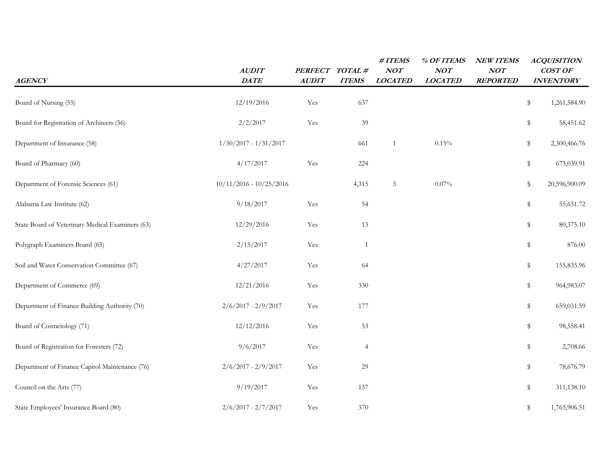| <b>AGENCY</b>                                    | <b>AUDIT</b><br>$\mathbf{DA}\mathbf{T}E$ | <b>PERFECT</b><br><b>AUDIT</b> | TOTAL#<br><b>ITEMS</b> | #ITEMS<br>NOT<br><b>LOCATED</b> | % OF ITEMS<br>NOT<br><b>LOCATED</b> | <b>NEW ITEMS</b><br>NOT<br><b>REPORTED</b> |             | <b>ACQUISITION</b><br>COST OF<br><b>INVENTORY</b> |
|--------------------------------------------------|------------------------------------------|--------------------------------|------------------------|---------------------------------|-------------------------------------|--------------------------------------------|-------------|---------------------------------------------------|
| Board of Nursing (55)                            | 12/19/2016                               | Yes                            | 637                    |                                 |                                     |                                            | \$          | 1,261,584.90                                      |
| Board for Registration of Architects (56)        | 2/2/2017                                 | Yes                            | 39                     |                                 |                                     |                                            | \$          | 58,451.62                                         |
| Department of Insurance (58)                     | $1/30/2017 - 1/31/2017$                  |                                | 661                    | $\mathbf{1}$                    | 0.15%                               |                                            | \$          | 2,300,466.76                                      |
| Board of Pharmacy (60)                           | 4/17/2017                                | Yes                            | 224                    |                                 |                                     |                                            | \$          | 673,039.91                                        |
| Department of Forensic Sciences (61)             | $10/11/2016 - 10/25/2016$                |                                | 4,315                  | 3                               | $0.07\%$                            |                                            | \$          | 20,596,900.09                                     |
| Alabama Law Institute (62)                       | 9/18/2017                                | Yes                            | 54                     |                                 |                                     |                                            | \$          | 55,651.72                                         |
| State Board of Veterinary Medical Examiners (63) | 12/29/2016                               | Yes                            | 13                     |                                 |                                     |                                            | \$          | 80,375.10                                         |
| Polygraph Examiners Board (65)                   | 2/15/2017                                | Yes                            | $\mathbf{1}$           |                                 |                                     |                                            | \$          | 876.00                                            |
| Soil and Water Conservation Committee (67)       | 4/27/2017                                | Yes                            | 64                     |                                 |                                     |                                            | \$          | 155,835.96                                        |
| Department of Commerce (69)                      | 12/21/2016                               | Yes                            | 330                    |                                 |                                     |                                            | $\mathbb S$ | 964,983.07                                        |
| Department of Finance Building Authority (70)    | $2/6/2017 - 2/9/2017$                    | Yes                            | 177                    |                                 |                                     |                                            | \$          | 659,031.59                                        |
| Board of Cosmetology (71)                        | 12/12/2016                               | Yes                            | 53                     |                                 |                                     |                                            | \$          | 98,558.41                                         |
| Board of Registration for Foresters (72)         | 9/6/2017                                 | Yes                            | $\overline{4}$         |                                 |                                     |                                            | \$          | 2,708.66                                          |
| Department of Finance Capitol Maintenance (76)   | $2/6/2017 - 2/9/2017$                    | Yes                            | 29                     |                                 |                                     |                                            | \$          | 78,676.79                                         |
| Council on the Arts (77)                         | 9/19/2017                                | Yes                            | 137                    |                                 |                                     |                                            | \$          | 311,138.10                                        |
| State Employees' Insurance Board (80)            | $2/6/2017 - 2/7/2017$                    | Yes                            | 370                    |                                 |                                     |                                            | \$          | 1,765,906.51                                      |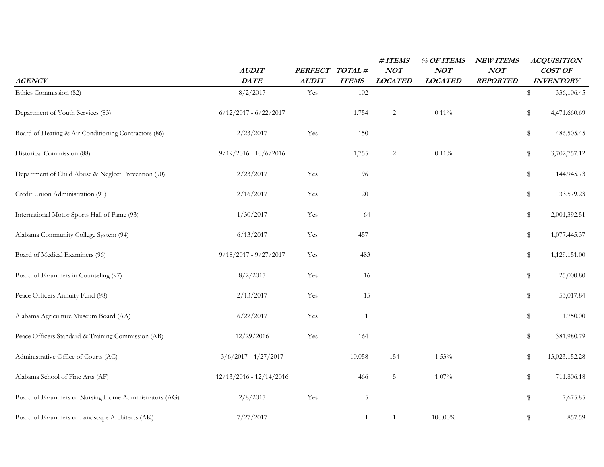|                                                        | <b>AUDIT</b>              | <b>PERFECT</b> | TOTAL#       | #ITEMS<br>NOT  | % OF ITEMS<br>NOT | <b>NEW ITEMS</b><br>NOT | <b>ACQUISITION</b><br><b>COST OF</b> |            |
|--------------------------------------------------------|---------------------------|----------------|--------------|----------------|-------------------|-------------------------|--------------------------------------|------------|
| <b>AGENCY</b>                                          | DATE                      | <b>AUDIT</b>   | <b>ITEMS</b> | <b>LOCATED</b> | <b>LOCATED</b>    | <b>REPORTED</b>         | <b>INVENTORY</b>                     |            |
| Ethics Commission (82)                                 | 8/2/2017                  | Yes            | 102          |                |                   |                         | \$                                   | 336,106.45 |
| Department of Youth Services (83)                      | $6/12/2017 - 6/22/2017$   |                | 1,754        | $\mathbf{2}$   | $0.11\%$          |                         | \$<br>4,471,660.69                   |            |
| Board of Heating & Air Conditioning Contractors (86)   | 2/23/2017                 | Yes            | 150          |                |                   |                         | $\mathbb S$                          | 486,505.45 |
| Historical Commission (88)                             | $9/19/2016 - 10/6/2016$   |                | 1,755        | $\overline{c}$ | $0.11\%$          |                         | \$<br>3,702,757.12                   |            |
| Department of Child Abuse & Neglect Prevention (90)    | 2/23/2017                 | Yes            | 96           |                |                   |                         | \$                                   | 144,945.73 |
| Credit Union Administration (91)                       | 2/16/2017                 | Yes            | $20\,$       |                |                   |                         | \$                                   | 33,579.23  |
| International Motor Sports Hall of Fame (93)           | 1/30/2017                 | Yes            | 64           |                |                   |                         | \$<br>2,001,392.51                   |            |
| Alabama Community College System (94)                  | 6/13/2017                 | Yes            | 457          |                |                   |                         | \$<br>1,077,445.37                   |            |
| Board of Medical Examiners (96)                        | $9/18/2017 - 9/27/2017$   | Yes            | 483          |                |                   |                         | \$<br>1,129,151.00                   |            |
| Board of Examiners in Counseling (97)                  | 8/2/2017                  | Yes            | 16           |                |                   |                         | \$                                   | 25,000.80  |
| Peace Officers Annuity Fund (98)                       | 2/13/2017                 | Yes            | 15           |                |                   |                         | \$                                   | 53,017.84  |
| Alabama Agriculture Museum Board (AA)                  | 6/22/2017                 | Yes            | $\mathbf{1}$ |                |                   |                         | \$                                   | 1,750.00   |
| Peace Officers Standard & Training Commission (AB)     | 12/29/2016                | Yes            | 164          |                |                   |                         | \$                                   | 381,980.79 |
| Administrative Office of Courts (AC)                   | $3/6/2017 - 4/27/2017$    |                | 10,058       | 154            | 1.53%             |                         | 13,023,152.28<br>\$                  |            |
| Alabama School of Fine Arts (AF)                       | $12/13/2016 - 12/14/2016$ |                | 466          | $\sqrt{5}$     | $1.07\%$          |                         | \$                                   | 711,806.18 |
| Board of Examiners of Nursing Home Administrators (AG) | 2/8/2017                  | Yes            | 5            |                |                   |                         | \$                                   | 7,675.85   |
| Board of Examiners of Landscape Architects (AK)        | 7/27/2017                 |                | $\mathbf{1}$ | 1              | $100.00\%$        |                         | \$                                   | 857.59     |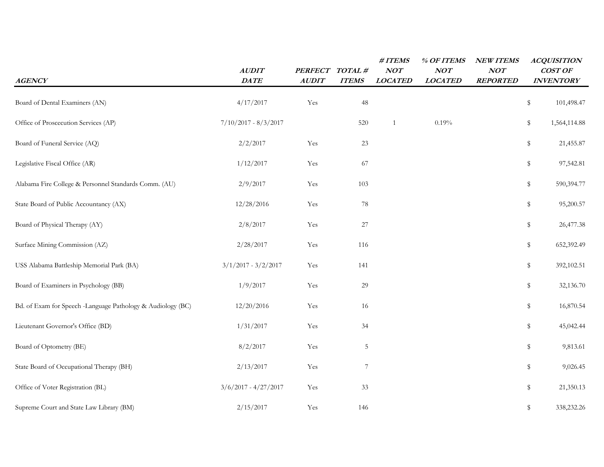| <b>AGENCY</b>                                               | <b>AUDIT</b><br>DATE   | <b>PERFECT</b><br><b>AUDIT</b> | TOTAL#<br><b>ITEMS</b> | $\# ITEMS$<br>NOT<br><b>LOCATED</b> | % OF ITEMS<br>NOT<br><b>LOCATED</b> | <b>NEW ITEMS</b><br>NOT<br><b>REPORTED</b> | <b>ACQUISITION</b><br>COST OF<br><b>INVENTORY</b> |
|-------------------------------------------------------------|------------------------|--------------------------------|------------------------|-------------------------------------|-------------------------------------|--------------------------------------------|---------------------------------------------------|
| Board of Dental Examiners (AN)                              | 4/17/2017              | Yes                            | 48                     |                                     |                                     |                                            | \$<br>101,498.47                                  |
| Office of Proscecution Services (AP)                        | $7/10/2017 - 8/3/2017$ |                                | 520                    | -1                                  | 0.19%                               |                                            | \$<br>1,564,114.88                                |
| Board of Funeral Service (AQ)                               | 2/2/2017               | Yes                            | 23                     |                                     |                                     |                                            | \$<br>21,455.87                                   |
| Legislative Fiscal Office (AR)                              | 1/12/2017              | Yes                            | 67                     |                                     |                                     |                                            | \$<br>97,542.81                                   |
| Alabama Fire College & Personnel Standards Comm. (AU)       | 2/9/2017               | Yes                            | 103                    |                                     |                                     |                                            | \$<br>590,394.77                                  |
| State Board of Public Accountancy (AX)                      | 12/28/2016             | Yes                            | 78                     |                                     |                                     |                                            | \$<br>95,200.57                                   |
| Board of Physical Therapy (AY)                              | 2/8/2017               | Yes                            | 27                     |                                     |                                     |                                            | \$<br>26,477.38                                   |
| Surface Mining Commission (AZ)                              | 2/28/2017              | Yes                            | 116                    |                                     |                                     |                                            | \$<br>652,392.49                                  |
| USS Alabama Battleship Memorial Park (BA)                   | $3/1/2017 - 3/2/2017$  | Yes                            | 141                    |                                     |                                     |                                            | \$<br>392,102.51                                  |
| Board of Examiners in Psychology (BB)                       | 1/9/2017               | Yes                            | 29                     |                                     |                                     |                                            | \$<br>32,136.70                                   |
| Bd. of Exam for Speech -Language Pathology & Audiology (BC) | 12/20/2016             | Yes                            | 16                     |                                     |                                     |                                            | \$<br>16,870.54                                   |
| Lieutenant Governor's Office (BD)                           | 1/31/2017              | Yes                            | 34                     |                                     |                                     |                                            | \$<br>45,042.44                                   |
| Board of Optometry (BE)                                     | 8/2/2017               | Yes                            | 5                      |                                     |                                     |                                            | \$<br>9,813.61                                    |
| State Board of Occupational Therapy (BH)                    | 2/13/2017              | Yes                            | 7                      |                                     |                                     |                                            | \$<br>9,026.45                                    |
| Office of Voter Registration (BL)                           | $3/6/2017 - 4/27/2017$ | Yes                            | 33                     |                                     |                                     |                                            | \$<br>21,350.13                                   |
| Supreme Court and State Law Library (BM)                    | 2/15/2017              | Yes                            | 146                    |                                     |                                     |                                            | \$<br>338,232.26                                  |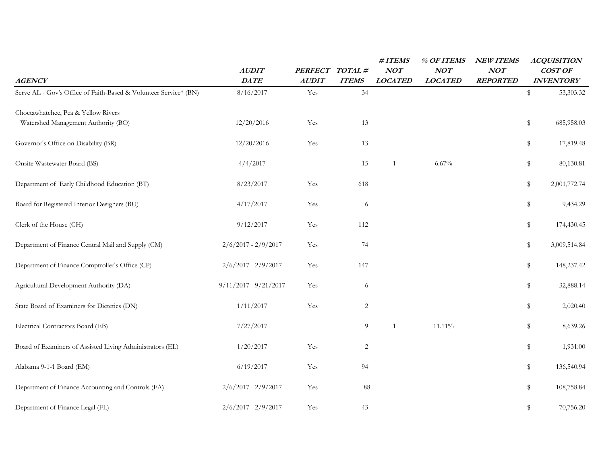| <b>AGENCY</b>                                                    | <b>AUDIT</b><br>$\mathbf{DA}\mathbf{T}E$ | <b>PERFECT</b><br><b>AUDIT</b> | TOTAL#<br><b>ITEMS</b> | #ITEMS<br>NOT<br><b>LOCATED</b> | % OF ITEMS<br>NOT<br><b>LOCATED</b> | <b>NEW ITEMS</b><br>NOT<br><b>REPORTED</b> | <b>ACQUISITION</b><br>COST OF<br><b>INVENTORY</b> |
|------------------------------------------------------------------|------------------------------------------|--------------------------------|------------------------|---------------------------------|-------------------------------------|--------------------------------------------|---------------------------------------------------|
| Serve AL - Gov's Office of Faith-Based & Volunteer Service* (BN) | 8/16/2017                                | Yes                            | 34                     |                                 |                                     |                                            | \$<br>53,303.32                                   |
| Choctawhatchee, Pea & Yellow Rivers                              |                                          |                                |                        |                                 |                                     |                                            |                                                   |
| Watershed Management Authority (BO)                              | 12/20/2016                               | Yes                            | 13                     |                                 |                                     |                                            | \$<br>685,958.03                                  |
| Governor's Office on Disability (BR)                             | 12/20/2016                               | Yes                            | 13                     |                                 |                                     |                                            | \$<br>17,819.48                                   |
| Onsite Wastewater Board (BS)                                     | 4/4/2017                                 |                                | 15                     | $\mathbf{1}$                    | $6.67\%$                            |                                            | \$<br>80,130.81                                   |
| Department of Early Childhood Education (BT)                     | 8/23/2017                                | Yes                            | 618                    |                                 |                                     |                                            | \$<br>2,001,772.74                                |
| Board for Registered Interior Designers (BU)                     | 4/17/2017                                | Yes                            | 6                      |                                 |                                     |                                            | \$<br>9,434.29                                    |
| Clerk of the House (CH)                                          | 9/12/2017                                | Yes                            | 112                    |                                 |                                     |                                            | \$<br>174,430.45                                  |
| Department of Finance Central Mail and Supply (CM)               | $2/6/2017 - 2/9/2017$                    | Yes                            | 74                     |                                 |                                     |                                            | \$<br>3,009,514.84                                |
| Department of Finance Comptroller's Office (CP)                  | $2/6/2017 - 2/9/2017$                    | Yes                            | 147                    |                                 |                                     |                                            | \$<br>148,237.42                                  |
| Agricultural Development Authority (DA)                          | $9/11/2017 - 9/21/2017$                  | Yes                            | 6                      |                                 |                                     |                                            | \$<br>32,888.14                                   |
| State Board of Examiners for Dietetics (DN)                      | 1/11/2017                                | Yes                            | $\overline{2}$         |                                 |                                     |                                            | \$<br>2,020.40                                    |
| Electrical Contractors Board (EB)                                | 7/27/2017                                |                                | 9                      | $\mathbf{1}$                    | 11.11%                              |                                            | \$<br>8,639.26                                    |
| Board of Examiners of Assisted Living Administrators (EL)        | 1/20/2017                                | Yes                            | 2                      |                                 |                                     |                                            | \$<br>1,931.00                                    |
| Alabama 9-1-1 Board (EM)                                         | 6/19/2017                                | Yes                            | 94                     |                                 |                                     |                                            | \$<br>136,540.94                                  |
| Department of Finance Accounting and Controls (FA)               | $2/6/2017 - 2/9/2017$                    | Yes                            | $\bf 88$               |                                 |                                     |                                            | \$<br>108,758.84                                  |
| Department of Finance Legal (FL)                                 | $2/6/2017 - 2/9/2017$                    | Yes                            | 43                     |                                 |                                     |                                            | \$<br>70,756.20                                   |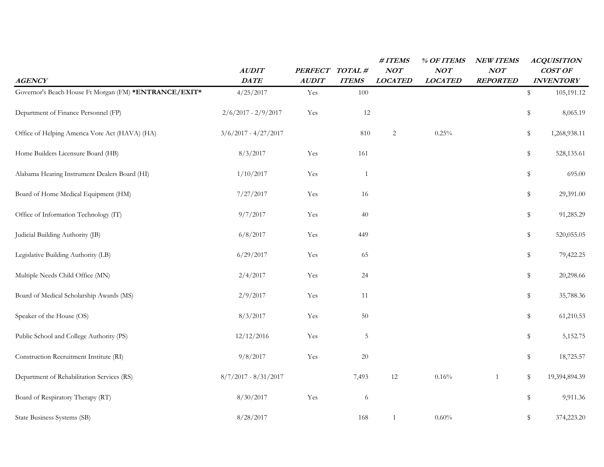|                                                       |                        |                                |                        | #ITEMS<br>NOT  | % OF ITEMS<br>NOT | <b>NEW ITEMS</b><br>NOT | <b>ACQUISITION</b><br>COST OF |
|-------------------------------------------------------|------------------------|--------------------------------|------------------------|----------------|-------------------|-------------------------|-------------------------------|
| <b>AGENCY</b>                                         | <b>AUDIT</b><br>DATE   | <b>PERFECT</b><br><b>AUDIT</b> | TOTAL#<br><b>ITEMS</b> | <b>LOCATED</b> | <b>LOCATED</b>    | <b>REPORTED</b>         | <b>INVENTORY</b>              |
| Governor's Beach House Ft Morgan (FM) *ENTRANCE/EXIT* | 4/25/2017              | Yes                            | 100                    |                |                   |                         | \$<br>105,191.12              |
| Department of Finance Personnel (FP)                  | $2/6/2017 - 2/9/2017$  | Yes                            | 12                     |                |                   |                         | \$<br>8,065.19                |
| Office of Helping America Vote Act (HAVA) (HA)        | $3/6/2017 - 4/27/2017$ |                                | 810                    | $\overline{c}$ | 0.25%             |                         | \$<br>1,268,938.11            |
| Home Builders Licensure Board (HB)                    | 8/3/2017               | Yes                            | 161                    |                |                   |                         | \$<br>528,135.61              |
| Alabama Hearing Instrument Dealers Board (HI)         | 1/10/2017              | Yes                            | $\mathbf{1}$           |                |                   |                         | \$<br>695.00                  |
| Board of Home Medical Equipment (HM)                  | 7/27/2017              | Yes                            | 16                     |                |                   |                         | \$<br>29,391.00               |
| Office of Information Technology (IT)                 | 9/7/2017               | Yes                            | 40                     |                |                   |                         | \$<br>91,285.29               |
| Judicial Building Authority (JB)                      | 6/8/2017               | Yes                            | 449                    |                |                   |                         | \$<br>520,055.05              |
| Legislative Building Authority (LB)                   | 6/29/2017              | Yes                            | 65                     |                |                   |                         | \$<br>79,422.25               |
| Multiple Needs Child Office (MN)                      | 2/4/2017               | Yes                            | 24                     |                |                   |                         | \$<br>20,298.66               |
| Board of Medical Scholarship Awards (MS)              | 2/9/2017               | Yes                            | 11                     |                |                   |                         | \$<br>35,788.36               |
| Speaker of the House (OS)                             | 8/3/2017               | Yes                            | 50                     |                |                   |                         | \$<br>61,210.53               |
| Public School and College Authority (PS)              | 12/12/2016             | Yes                            | 5                      |                |                   |                         | \$<br>5,152.75                |
| Construction Recruitment Institute (RI)               | 9/8/2017               | Yes                            | 20                     |                |                   |                         | \$<br>18,725.57               |
| Department of Rehabilitation Services (RS)            | $8/7/2017 - 8/31/2017$ |                                | 7,493                  | $12\,$         | 0.16%             | $\mathbf{1}$            | \$<br>19,394,894.39           |
| Board of Respiratory Therapy (RT)                     | 8/30/2017              | Yes                            | 6                      |                |                   |                         | \$<br>9,911.36                |
| State Business Systems (SB)                           | 8/28/2017              |                                | 168                    | $\mathbf{1}$   | 0.60%             |                         | \$<br>374,223.20              |